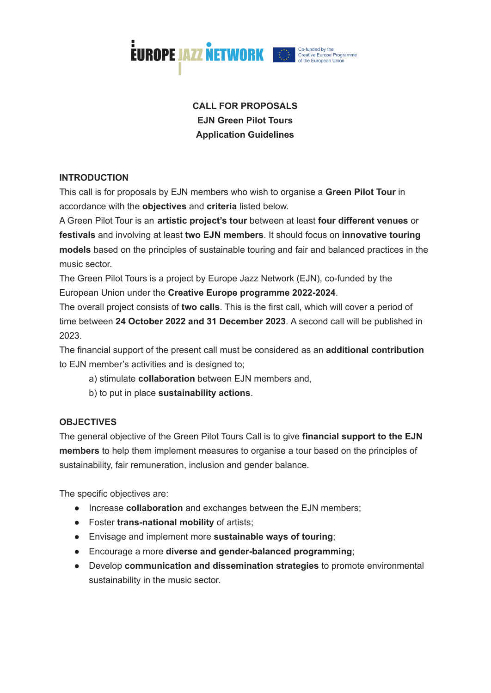

# **CALL FOR PROPOSALS EJN Green Pilot Tours Application Guidelines**

# **INTRODUCTION**

This call is for proposals by EJN members who wish to organise a **Green Pilot Tour** in accordance with the **objectives** and **criteria** listed below.

A Green Pilot Tour is an **artistic project's tour** between at least **four different venues** or **festivals** and involving at least **two EJN members**. It should focus on **innovative touring models** based on the principles of sustainable touring and fair and balanced practices in the music sector.

The Green Pilot Tours is a project by Europe Jazz Network (EJN), co-funded by the European Union under the **Creative Europe programme 2022-2024**.

The overall project consists of **two calls**. This is the first call, which will cover a period of time between **24 October 2022 and 31 December 2023**. A second call will be published in 2023.

The financial support of the present call must be considered as an **additional contribution** to EJN member's activities and is designed to;

- a) stimulate **collaboration** between EJN members and,
- b) to put in place **sustainability actions**.

## **OBJECTIVES**

The general objective of the Green Pilot Tours Call is to give **financial support to the EJN members** to help them implement measures to organise a tour based on the principles of sustainability, fair remuneration, inclusion and gender balance.

The specific objectives are:

- Increase **collaboration** and exchanges between the EJN members;
- Foster **trans-national mobility** of artists;
- Envisage and implement more **sustainable ways of touring**;
- Encourage a more **diverse and gender-balanced programming**;
- Develop **communication and dissemination strategies** to promote environmental sustainability in the music sector.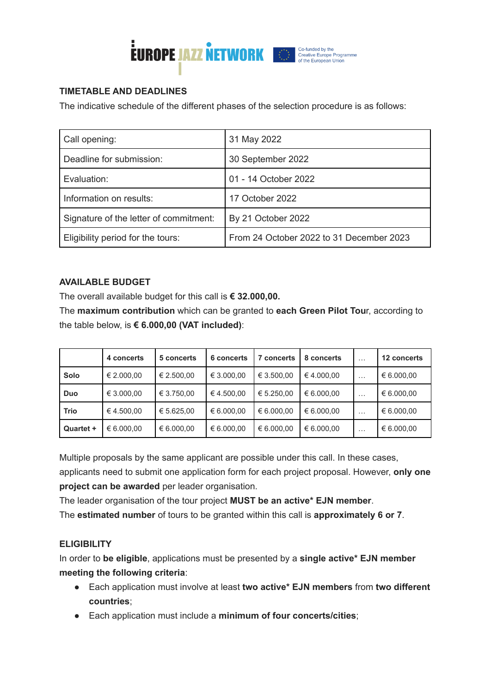

# **TIMETABLE AND DEADLINES**

The indicative schedule of the different phases of the selection procedure is as follows:

| Call opening:                          | 31 May 2022                              |
|----------------------------------------|------------------------------------------|
| Deadline for submission:               | 30 September 2022                        |
| Evaluation:                            | 01 - 14 October 2022                     |
| Information on results:                | 17 October 2022                          |
| Signature of the letter of commitment: | By 21 October 2022                       |
| Eligibility period for the tours:      | From 24 October 2022 to 31 December 2023 |

# **AVAILABLE BUDGET**

The overall available budget for this call is **€ 32.000,00.**

The **maximum contribution** which can be granted to **each Green Pilot Tou**r, according to the table below, is **€ 6.000,00 (VAT included)**:

|             | 4 concerts | 5 concerts | 6 concerts | <b>7 concerts</b> | 8 concerts | $\cdots$ | 12 concerts |
|-------------|------------|------------|------------|-------------------|------------|----------|-------------|
| Solo        | € 2.000,00 | € 2.500,00 | € 3.000,00 | € 3.500,00        | €4.000,00  | $\cdots$ | € 6.000,00  |
| Duo         | € 3.000,00 | € 3.750.00 | €4.500.00  | € 5.250.00        | € 6.000,00 | $\cdots$ | € 6.000,00  |
| <b>Trio</b> | € 4.500,00 | € 5.625,00 | € 6.000,00 | € 6.000,00        | € 6.000,00 | $\cdots$ | € 6.000,00  |
| Quartet +   | € 6.000.00 | € 6.000,00 | € 6.000,00 | € 6.000,00        | € 6.000,00 | $\cdots$ | € 6.000,00  |

Multiple proposals by the same applicant are possible under this call. In these cases,

applicants need to submit one application form for each project proposal. However, **only one project can be awarded** per leader organisation.

The leader organisation of the tour project **MUST be an active\* EJN member**.

The **estimated number** of tours to be granted within this call is **approximately 6 or 7**.

# **ELIGIBILITY**

In order to **be eligible**, applications must be presented by a **single active\* EJN member meeting the following criteria**:

- Each application must involve at least **two active\* EJN members** from **two different countries**;
- Each application must include a **minimum of four concerts/cities**;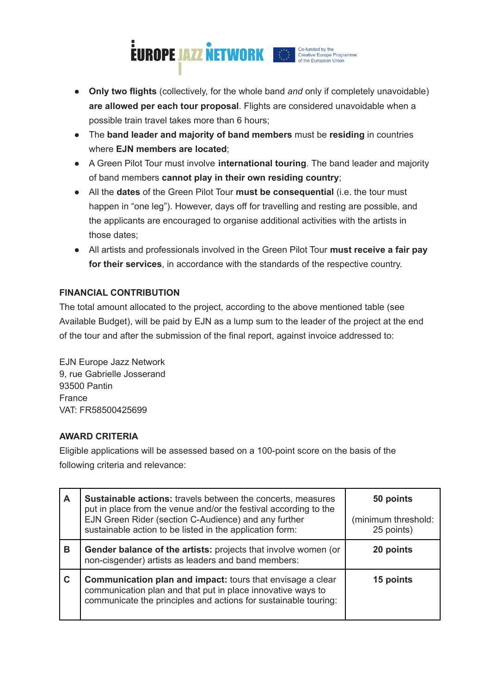

- **Only two flights** (collectively, for the whole band *and* only if completely unavoidable) **are allowed per each tour proposal**. Flights are considered unavoidable when a possible train travel takes more than 6 hours;
- The **band leader and majority of band members** must be **residing** in countries where **EJN members are located**;
- A Green Pilot Tour must involve **international touring**. The band leader and majority of band members **cannot play in their own residing country**;
- All the **dates** of the Green Pilot Tour **must be consequential** (i.e. the tour must happen in "one leg"). However, days off for travelling and resting are possible, and the applicants are encouraged to organise additional activities with the artists in those dates;
- All artists and professionals involved in the Green Pilot Tour **must receive a fair pay for their services**, in accordance with the standards of the respective country.

# **FINANCIAL CONTRIBUTION**

The total amount allocated to the project, according to the above mentioned table (see Available Budget), will be paid by EJN as a lump sum to the leader of the project at the end of the tour and after the submission of the final report, against invoice addressed to:

EJN Europe Jazz Network 9, rue Gabrielle Josserand 93500 Pantin France VAT: FR58500425699

## **AWARD CRITERIA**

Eligible applications will be assessed based on a 100-point score on the basis of the following criteria and relevance:

| A | Sustainable actions: travels between the concerts, measures<br>put in place from the venue and/or the festival according to the<br>EJN Green Rider (section C-Audience) and any further<br>sustainable action to be listed in the application form: | 50 points<br>(minimum threshold:<br>25 points) |
|---|-----------------------------------------------------------------------------------------------------------------------------------------------------------------------------------------------------------------------------------------------------|------------------------------------------------|
| В | <b>Gender balance of the artists:</b> projects that involve women (or<br>non-cisgender) artists as leaders and band members:                                                                                                                        | 20 points                                      |
| C | <b>Communication plan and impact:</b> tours that envisage a clear<br>communication plan and that put in place innovative ways to<br>communicate the principles and actions for sustainable touring:                                                 | 15 points                                      |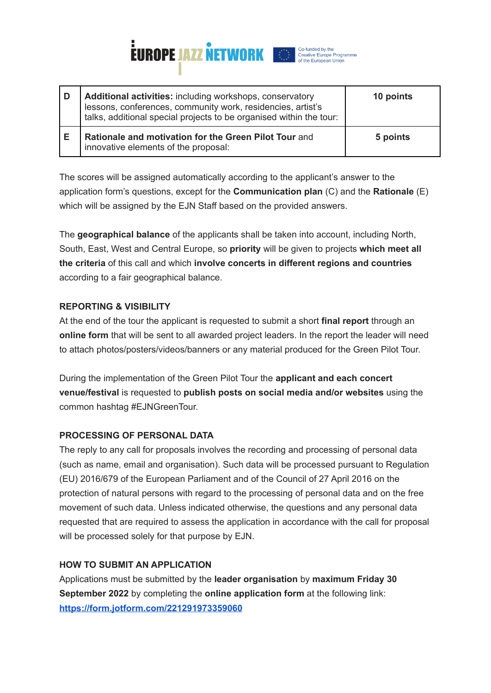

| D | Additional activities: including workshops, conservatory<br>lessons, conferences, community work, residencies, artist's<br>talks, additional special projects to be organised within the tour: | 10 points |
|---|------------------------------------------------------------------------------------------------------------------------------------------------------------------------------------------------|-----------|
| Е | Rationale and motivation for the Green Pilot Tour and<br>innovative elements of the proposal:                                                                                                  | 5 points  |

The scores will be assigned automatically according to the applicant's answer to the application form's questions, except for the **Communication plan** (C) and the **Rationale** (E) which will be assigned by the EJN Staff based on the provided answers.

The **geographical balance** of the applicants shall be taken into account, including North, South, East, West and Central Europe, so **priority** will be given to projects **which meet all the criteria** of this call and which **involve concerts in different regions and countries** according to a fair geographical balance.

#### **REPORTING & VISIBILITY**

At the end of the tour the applicant is requested to submit a short **final report** through an **online form** that will be sent to all awarded project leaders. In the report the leader will need to attach photos/posters/videos/banners or any material produced for the Green Pilot Tour.

During the implementation of the Green Pilot Tour the **applicant and each concert venue/festival** is requested to **publish posts on social media and/or websites** using the common hashtag #EJNGreenTour.

## **PROCESSING OF PERSONAL DATA**

The reply to any call for proposals involves the recording and processing of personal data (such as name, email and organisation). Such data will be processed pursuant to Regulation (EU) 2016/679 of the European Parliament and of the Council of 27 April 2016 on the protection of natural persons with regard to the processing of personal data and on the free movement of such data. Unless indicated otherwise, the questions and any personal data requested that are required to assess the application in accordance with the call for proposal will be processed solely for that purpose by EJN.

## **HOW TO SUBMIT AN APPLICATION**

Applications must be submitted by the **leader organisation** by **maximum Friday 30 September 2022** by completing the **online application form** at the following link: **<https://form.jotform.com/221291973359060>**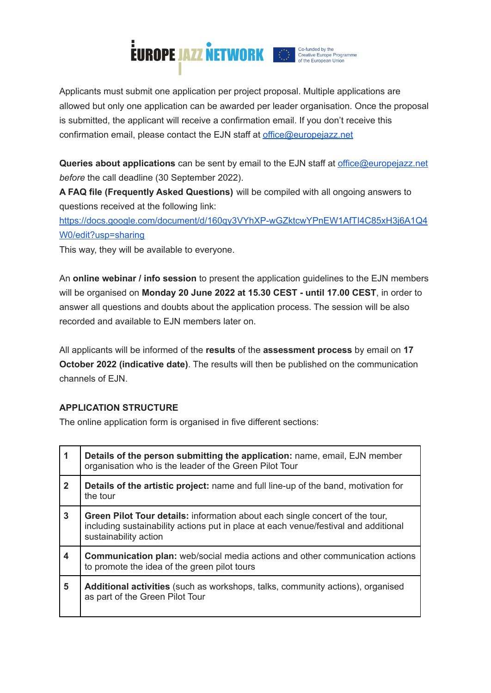

Applicants must submit one application per project proposal. Multiple applications are allowed but only one application can be awarded per leader organisation. Once the proposal is submitted, the applicant will receive a confirmation email. If you don't receive this confirmation email, please contact the EJN staff at [office@europejazz.net](mailto:office@europejazz.net)

**Queries about applications** can be sent by email to the EJN staff at [office@europejazz.net](mailto:office@europejazz.net) *before* the call deadline (30 September 2022).

**A FAQ file (Frequently Asked Questions)** will be compiled with all ongoing answers to questions received at the following link:

[https://docs.google.com/document/d/160qy3VYhXP-wGZktcwYPnEW1AfTI4C85xH3j6A1Q4](https://docs.google.com/document/d/160qy3VYhXP-wGZktcwYPnEW1AfTI4C85xH3j6A1Q4W0/edit?usp=sharing) [W0/edit?usp=sharing](https://docs.google.com/document/d/160qy3VYhXP-wGZktcwYPnEW1AfTI4C85xH3j6A1Q4W0/edit?usp=sharing)

This way, they will be available to everyone.

An **online webinar / info session** to present the application guidelines to the EJN members will be organised on **Monday 20 June 2022 at 15.30 CEST - until 17.00 CEST**, in order to answer all questions and doubts about the application process. The session will be also recorded and available to EJN members later on.

All applicants will be informed of the **results** of the **assessment process** by email on **17 October 2022 (indicative date)**. The results will then be published on the communication channels of EJN.

## **APPLICATION STRUCTURE**

The online application form is organised in five different sections:

| 1                       | Details of the person submitting the application: name, email, EJN member<br>organisation who is the leader of the Green Pilot Tour                                                                 |
|-------------------------|-----------------------------------------------------------------------------------------------------------------------------------------------------------------------------------------------------|
| $\overline{2}$          | Details of the artistic project: name and full line-up of the band, motivation for<br>the tour                                                                                                      |
| $\mathbf{3}$            | <b>Green Pilot Tour details:</b> information about each single concert of the tour,<br>including sustainability actions put in place at each venue/festival and additional<br>sustainability action |
| $\overline{\mathbf{4}}$ | <b>Communication plan:</b> web/social media actions and other communication actions<br>to promote the idea of the green pilot tours                                                                 |
| 5                       | <b>Additional activities</b> (such as workshops, talks, community actions), organised<br>as part of the Green Pilot Tour                                                                            |